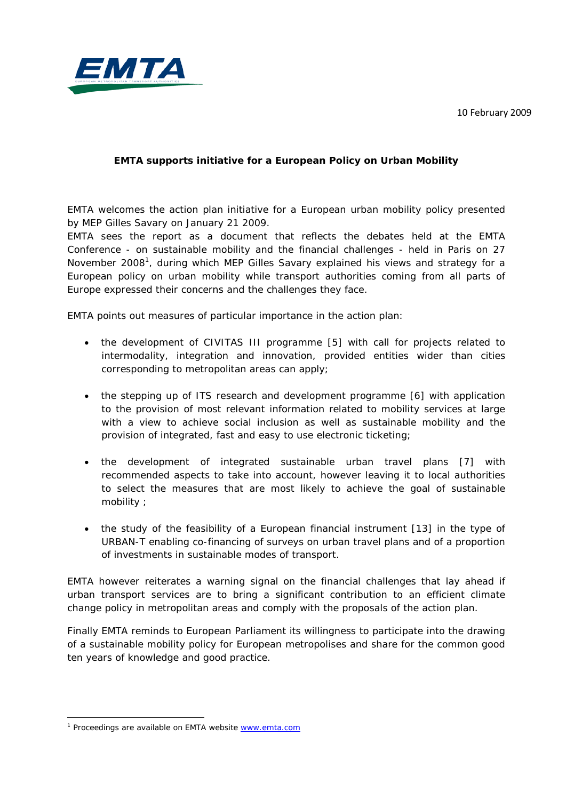10 February 2009



## **EMTA supports initiative for a European Policy on Urban Mobility**

EMTA welcomes the action plan initiative for a European urban mobility policy presented by MEP Gilles Savary on January 21 2009.

EMTA sees the report as a document that reflects the debates held at the EMTA Conference - on sustainable mobility and the financial challenges - held in Paris on 27 November 2008<sup>1</sup>, during which MEP Gilles Savary explained his views and strategy for a European policy on urban mobility while transport authorities coming from all parts of Europe expressed their concerns and the challenges they face.

EMTA points out measures of particular importance in the action plan:

- the development of CIVITAS III programme [5] with call for projects related to intermodality, integration and innovation, *provided entities wider than cities corresponding to metropolitan areas can apply*;
- the stepping up of ITS research and development programme [6] with application to the provision of most relevant information related to mobility services at large with a view to achieve social inclusion as well as sustainable mobility and the provision of integrated, fast and easy to use electronic ticketing;
- the development of integrated sustainable urban travel plans [7] with recommended aspects to take into account, *however leaving it to local authorities to select the measures that are most likely to achieve the goal of sustainable mobility* ;
- the study of the feasibility of a European financial instrument [13] in the type of URBAN-T enabling co-financing of surveys on urban travel plans and of a proportion of investments in sustainable modes of transport.

EMTA however reiterates a warning signal on the financial challenges that lay ahead if urban transport services are to bring a significant contribution to an efficient climate change policy in metropolitan areas and comply with the proposals of the action plan.

Finally EMTA reminds to European Parliament its willingness to participate into the drawing of a sustainable mobility policy for European metropolises and share for the common good ten years of knowledge and good practice.

.

<sup>&</sup>lt;sup>1</sup> Proceedings are available on EMTA website [www.emta.com](http://www.emta.com/)